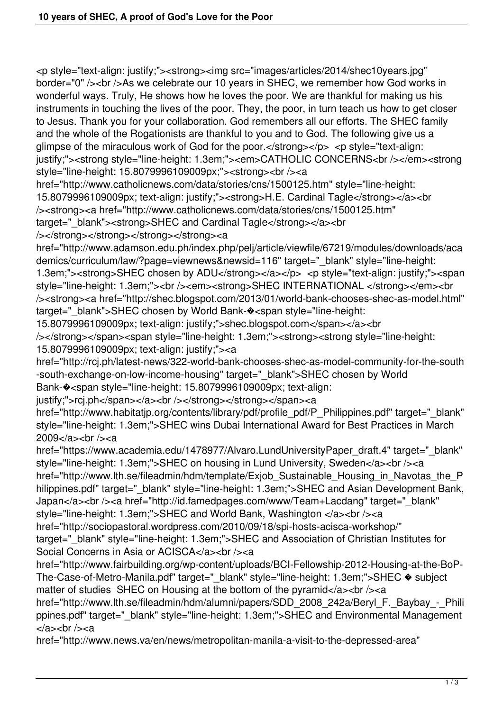<p style="text-align: justify;"><strong><img src="images/articles/2014/shec10years.jpg" border="0" /><br />As we celebrate our 10 years in SHEC, we remember how God works in wonderful ways. Truly, He shows how he loves the poor. We are thankful for making us his instruments in touching the lives of the poor. They, the poor, in turn teach us how to get closer to Jesus. Thank you for your collaboration. God remembers all our efforts. The SHEC family and the whole of the Rogationists are thankful to you and to God. The following give us a glimpse of the miraculous work of God for the poor.</strong></p> <p style="text-align: justify;"><strong style="line-height: 1.3em;"><em>CATHOLIC CONCERNS<br />>/>></em><strong style="line-height: 15.8079996109009px;"><strong><br /><a href="http://www.catholicnews.com/data/stories/cns/1500125.htm" style="line-height: 15.8079996109009px; text-align: justify;"><strong>H.E. Cardinal Tagle</strong></a><br /><strong><a href="http://www.catholicnews.com/data/stories/cns/1500125.htm" target="\_blank"><strong>SHEC and Cardinal Tagle</strong></a><br/>strong> />/>/></strong></strong></strong></strong><a href="http://www.adamson.edu.ph/index.php/pelj/article/viewfile/67219/modules/downloads/aca demics/curriculum/law/?page=viewnews&newsid=116" target="\_blank" style="line-height: 1.3em;"><strong>SHEC chosen by ADU</strong></a></p> <p style="text-align: justify;"><span style="line-height: 1.3em;"><br />>/>><em><strong>SHEC INTERNATIONAL</strong></em><br /><strong><a href="http://shec.blogspot.com/2013/01/world-bank-chooses-shec-as-model.html" target=" blank">SHEC chosen by World Bank- $\bullet$ <span style="line-height: 15.8079996109009px; text-align: justify;">shec.blogspot.com</span></a><br /></strong></span><span style="line-height: 1.3em;"><strong><strong style="line-height: 15.8079996109009px; text-align: justify;"><a href="http://rcj.ph/latest-news/322-world-bank-chooses-shec-as-model-community-for-the-south -south-exchange-on-low-income-housing" target=" blank">SHEC chosen by World Bank-�<span style="line-height: 15.8079996109009px; text-align: justify;">rcj.ph</span></a>></br />>/>></strong></strong></span><a href="http://www.habitatjp.org/contents/library/pdf/profile\_pdf/P\_Philippines.pdf" target="\_blank"

style="line-height: 1.3em;">SHEC wins Dubai International Award for Best Practices in March 2009</a> <br />></a>

href="https://www.academia.edu/1478977/Alvaro.LundUniversityPaper\_draft.4" target="\_blank" style="line-height: 1.3em;">SHEC on housing in Lund University, Sweden</a><br/>>>/></a></a></a></a> href="http://www.lth.se/fileadmin/hdm/template/Exjob\_Sustainable\_Housing\_in\_Navotas\_the\_P hilippines.pdf" target=" blank" style="line-height: 1.3em;">SHEC and Asian Development Bank, Japan</a> < br />> < a href="http://id.famedpages.com/www/Team+Lacdang" target=" blank" style="line-height: 1.3em;">SHEC and World Bank, Washington </a>></a></a> href="http://sociopastoral.wordpress.com/2010/09/18/spi-hosts-acisca-workshop/"

target=" blank" style="line-height: 1.3em;">SHEC and Association of Christian Institutes for Social Concerns in Asia or ACISCA</a>><br/>chr />>>

href="http://www.fairbuilding.org/wp-content/uploads/BCI-Fellowship-2012-Housing-at-the-BoP-The-Case-of-Metro-Manila.pdf" target=" blank" style="line-height: 1.3em;">SHEC ♦ subject matter of studies SHEC on Housing at the bottom of the pyramid</a>>>>>><br/>br</a>

href="http://www.lth.se/fileadmin/hdm/alumni/papers/SDD 2008 242a/Beryl F. Baybay - Phili ppines.pdf" target="\_blank" style="line-height: 1.3em;">SHEC and Environmental Management  $<$ /a $>$  $<$ br/ $>$  $<$ a

href="http://www.news.va/en/news/metropolitan-manila-a-visit-to-the-depressed-area"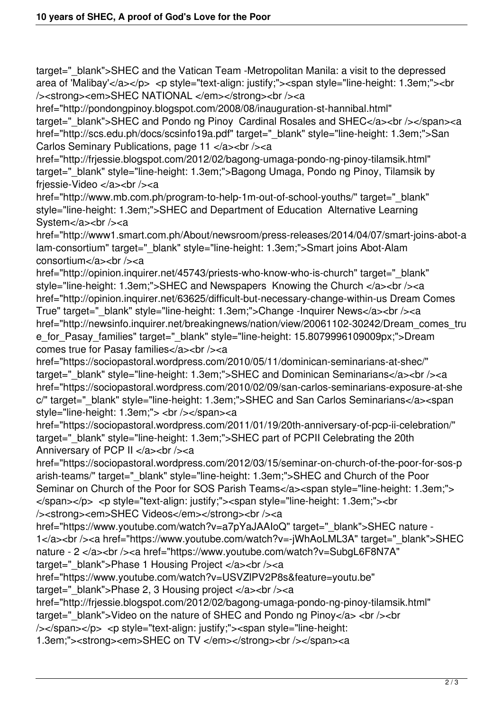target=" blank">SHEC and the Vatican Team -Metropolitan Manila: a visit to the depressed area of 'Malibay'</a></p> <p style="text-align: justify;"><span style="line-height: 1.3em;"><br/>>> />/><strong><em>SHEC NATIONAL </em></strong><br />>/>

href="http://pondongpinoy.blogspot.com/2008/08/inauguration-st-hannibal.html"

target=" blank">SHEC and Pondo ng Pinoy Cardinal Rosales and SHEC</a><br />>>/>></span><a href="http://scs.edu.ph/docs/scsinfo19a.pdf" target="\_blank" style="line-height: 1.3em;">San Carlos Seminary Publications, page 11 </a> </br />>/a>

href="http://frjessie.blogspot.com/2012/02/bagong-umaga-pondo-ng-pinoy-tilamsik.html" target="\_blank" style="line-height: 1.3em;">Bagong Umaga, Pondo ng Pinoy, Tilamsik by frjessie-Video </a> < br />><a

href="http://www.mb.com.ph/program-to-help-1m-out-of-school-youths/" target=" blank" style="line-height: 1.3em;">SHEC and Department of Education Alternative Learning System</a> < br />><a

href="http://www1.smart.com.ph/About/newsroom/press-releases/2014/04/07/smart-joins-abot-a lam-consortium" target=" blank" style="line-height: 1.3em;">Smart joins Abot-Alam consortium</a> < br />><a

href="http://opinion.inquirer.net/45743/priests-who-know-who-is-church" target="\_blank" style="line-height: 1.3em;">SHEC and Newspapers Knowing the Church </a>></a></a> href="http://opinion.inquirer.net/63625/difficult-but-necessary-change-within-us Dream Comes True" target=" blank" style="line-height: 1.3em;">Change -Inquirer News</a><br />>/>><a href="http://newsinfo.inquirer.net/breakingnews/nation/view/20061102-30242/Dream\_comes\_tru e for Pasay families" target=" blank" style="line-height: 15.8079996109009px;">Dream comes true for Pasay families</a>>>>>>>br /><a

href="https://sociopastoral.wordpress.com/2010/05/11/dominican-seminarians-at-shec/" target=" blank" style="line-height: 1.3em;">SHEC and Dominican Seminarians</a><br />>>/><a href="https://sociopastoral.wordpress.com/2010/02/09/san-carlos-seminarians-exposure-at-she c/" target="\_blank" style="line-height: 1.3em;">SHEC and San Carlos Seminarians</a><span style="line-height: 1.3em;"> <br />>/>></span><a

href="https://sociopastoral.wordpress.com/2011/01/19/20th-anniversary-of-pcp-ii-celebration/" target=" blank" style="line-height: 1.3em;">SHEC part of PCPII Celebrating the 20th Anniversary of PCP II </a> </br />>/<a

href="https://sociopastoral.wordpress.com/2012/03/15/seminar-on-church-of-the-poor-for-sos-p arish-teams/" target="\_blank" style="line-height: 1.3em;">SHEC and Church of the Poor Seminar on Church of the Poor for SOS Parish Teams</a>span style="line-height: 1.3em;"> </span></p> <p style="text-align: justify;"><span style="line-height: 1.3em;"><br />><strong><em>SHEC Videos</em></strong><br />><a

href="https://www.youtube.com/watch?v=a7pYaJAAIoQ" target="\_blank">SHEC nature -1</a><br/>>>/>><a href="https://www.youtube.com/watch?v=-jWhAoLML3A" target="\_blank">SHEC nature - 2 </a> < br />> /><a href="https://www.youtube.com/watch?v=SubgL6F8N7A" target=" blank">Phase 1 Housing Project </a> < br />><a

href="https://www.youtube.com/watch?v=USVZlPV2P8s&feature=youtu.be"

target=" blank">Phase 2, 3 Housing project </a> </br />>>

href="http://frjessie.blogspot.com/2012/02/bagong-umaga-pondo-ng-pinoy-tilamsik.html"

target=" blank">Video on the nature of SHEC and Pondo ng Pinoy</a> <br />>>>><br />>

/></span></p> <p style="text-align: justify;"><span style="line-height:

1.3em;"><strong><em>SHEC on TV </em></strong><br />>/>></span><a